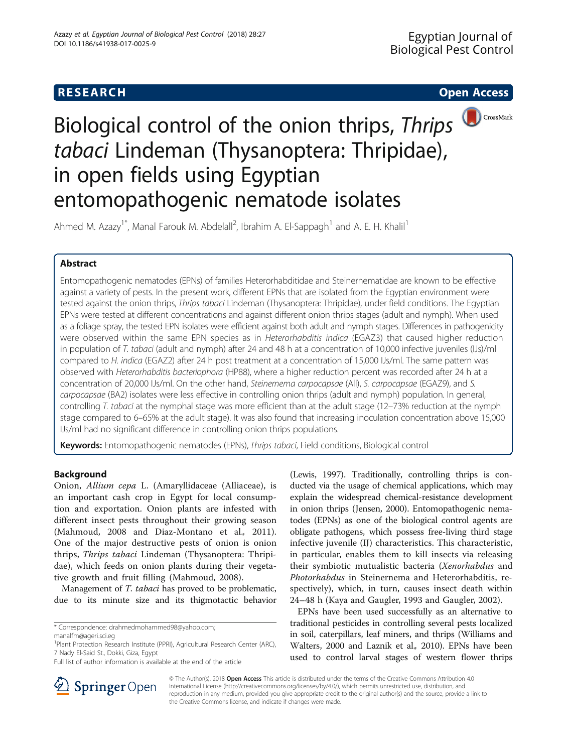# **RESEARCH CHE Open Access**



Ahmed M. Azazy<sup>1\*</sup>, Manal Farouk M. Abdelall<sup>2</sup>, Ibrahim A. El-Sappagh<sup>1</sup> and A. E. H. Khalil<sup>1</sup>

# Abstract

Entomopathogenic nematodes (EPNs) of families Heterorhabditidae and Steinernematidae are known to be effective against a variety of pests. In the present work, different EPNs that are isolated from the Egyptian environment were tested against the onion thrips, Thrips tabaci Lindeman (Thysanoptera: Thripidae), under field conditions. The Egyptian EPNs were tested at different concentrations and against different onion thrips stages (adult and nymph). When used as a foliage spray, the tested EPN isolates were efficient against both adult and nymph stages. Differences in pathogenicity were observed within the same EPN species as in Heterorhabditis indica (EGAZ3) that caused higher reduction in population of T. tabaci (adult and nymph) after 24 and 48 h at a concentration of 10,000 infective juveniles (IJs)/ml compared to H. indica (EGAZ2) after 24 h post treatment at a concentration of 15,000 IJs/ml. The same pattern was observed with Heterorhabditis bacteriophora (HP88), where a higher reduction percent was recorded after 24 h at a concentration of 20,000 IJs/ml. On the other hand, Steinernema carpocapsae (All), S. carpocapsae (EGAZ9), and S. carpocapsae (BA2) isolates were less effective in controlling onion thrips (adult and nymph) population. In general, controlling T. tabaci at the nymphal stage was more efficient than at the adult stage (12–73% reduction at the nymph stage compared to 6–65% at the adult stage). It was also found that increasing inoculation concentration above 15,000 IJs/ml had no significant difference in controlling onion thrips populations.

Keywords: Entomopathogenic nematodes (EPNs), Thrips tabaci, Field conditions, Biological control

# **Background**

Onion, Allium cepa L. (Amaryllidaceae (Alliaceae), is an important cash crop in Egypt for local consumption and exportation. Onion plants are infested with different insect pests throughout their growing season (Mahmoud, [2008](#page-5-0) and Diaz-Montano et al., [2011](#page-4-0)). One of the major destructive pests of onion is onion thrips, Thrips tabaci Lindeman (Thysanoptera: Thripidae), which feeds on onion plants during their vegetative growth and fruit filling (Mahmoud, [2008\)](#page-5-0).

Management of T. tabaci has proved to be problematic, due to its minute size and its thigmotactic behavior (Lewis, [1997](#page-5-0)). Traditionally, controlling thrips is conducted via the usage of chemical applications, which may explain the widespread chemical-resistance development in onion thrips (Jensen, [2000\)](#page-4-0). Entomopathogenic nematodes (EPNs) as one of the biological control agents are obligate pathogens, which possess free-living third stage infective juvenile (IJ) characteristics. This characteristic, in particular, enables them to kill insects via releasing their symbiotic mutualistic bacteria (Xenorhabdus and Photorhabdus in Steinernema and Heterorhabditis, respectively), which, in turn, causes insect death within 24–48 h (Kaya and Gaugler, [1993](#page-4-0) and Gaugler, [2002\)](#page-4-0).

EPNs have been used successfully as an alternative to traditional pesticides in controlling several pests localized in soil, caterpillars, leaf miners, and thrips (Williams and Walters, [2000](#page-5-0) and Laznik et al., [2010\)](#page-4-0). EPNs have been used to control larval stages of western flower thrips



© The Author(s). 2018 Open Access This article is distributed under the terms of the Creative Commons Attribution 4.0 International License ([http://creativecommons.org/licenses/by/4.0/\)](http://creativecommons.org/licenses/by/4.0/), which permits unrestricted use, distribution, and reproduction in any medium, provided you give appropriate credit to the original author(s) and the source, provide a link to the Creative Commons license, and indicate if changes were made.

<sup>\*</sup> Correspondence: [drahmedmohammed98@yahoo.com](mailto:drahmedmohammed98@yahoo.com);

[manalfm@ageri.sci.eg](mailto:manalfm@ageri.sci.eg)

<sup>&</sup>lt;sup>1</sup>Plant Protection Research Institute (PPRI), Agricultural Research Center (ARC), 7 Nady El-Said St., Dokki, Giza, Egypt

Full list of author information is available at the end of the article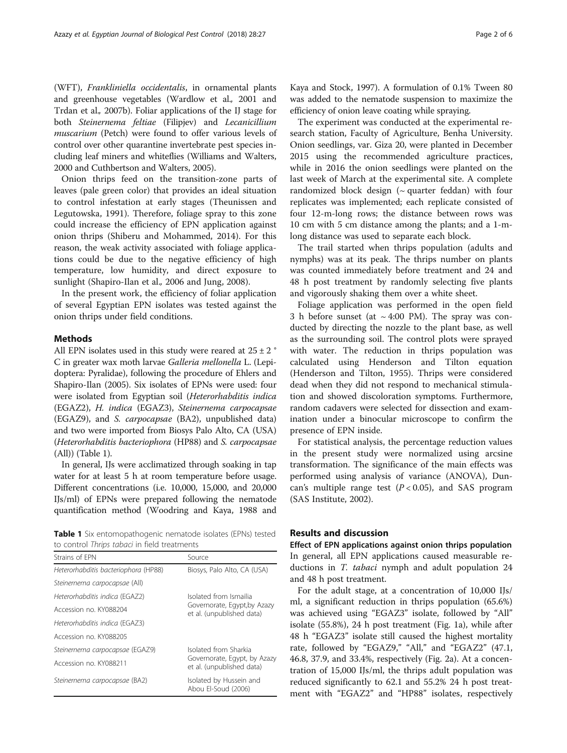(WFT), Frankliniella occidentalis, in ornamental plants and greenhouse vegetables (Wardlow et al., [2001](#page-5-0) and Trdan et al., [2007b\)](#page-5-0). Foliar applications of the IJ stage for both Steinernema feltiae (Filipjev) and Lecanicillium muscarium (Petch) were found to offer various levels of control over other quarantine invertebrate pest species including leaf miners and whiteflies (Williams and Walters, [2000](#page-5-0) and Cuthbertson and Walters, [2005\)](#page-4-0).

Onion thrips feed on the transition-zone parts of leaves (pale green color) that provides an ideal situation to control infestation at early stages (Theunissen and Legutowska, [1991\)](#page-5-0). Therefore, foliage spray to this zone could increase the efficiency of EPN application against onion thrips (Shiberu and Mohammed, [2014\)](#page-5-0). For this reason, the weak activity associated with foliage applications could be due to the negative efficiency of high temperature, low humidity, and direct exposure to sunlight (Shapiro-Ilan et al., [2006](#page-5-0) and Jung, [2008\)](#page-4-0).

In the present work, the efficiency of foliar application of several Egyptian EPN isolates was tested against the onion thrips under field conditions.

## Methods

All EPN isolates used in this study were reared at  $25 \pm 2$  ° C in greater wax moth larvae Galleria mellonella L. (Lepidoptera: Pyralidae), following the procedure of Ehlers and Shapiro-Ilan [\(2005](#page-4-0)). Six isolates of EPNs were used: four were isolated from Egyptian soil (Heterorhabditis indica (EGAZ2), H. indica (EGAZ3), Steinernema carpocapsae (EGAZ9), and S. carpocapsae (BA2), unpublished data) and two were imported from Biosys Palo Alto, CA (USA) (Heterorhabditis bacteriophora (HP88) and S. carpocapsae (All)) (Table 1).

In general, IJs were acclimatized through soaking in tap water for at least 5 h at room temperature before usage. Different concentrations (i.e. 10,000, 15,000, and 20,000 IJs/ml) of EPNs were prepared following the nematode quantification method (Woodring and Kaya, [1988](#page-5-0) and

Table 1 Six entomopathogenic nematode isolates (EPNs) tested to control Thrips tabaci in field treatments

| Strains of FPN                       | Source                                                                              |  |  |  |
|--------------------------------------|-------------------------------------------------------------------------------------|--|--|--|
| Heterorhabditis bacteriophora (HP88) | Biosys, Palo Alto, CA (USA)                                                         |  |  |  |
| Steinernema carpocapsae (All)        |                                                                                     |  |  |  |
| Heterorhabditis indica (EGAZ2)       | Isolated from Ismailia<br>Governorate, Egypt, by Azazy<br>et al. (unpublished data) |  |  |  |
| Accession no. KY088204               |                                                                                     |  |  |  |
| Heterorhabditis indica (EGAZ3)       |                                                                                     |  |  |  |
| Accession no. KY088205               |                                                                                     |  |  |  |
| Steinernema carpocapsae (EGAZ9)      | Isolated from Sharkia                                                               |  |  |  |
| Accession no. KY088211               | Governorate, Egypt, by Azazy<br>et al. (unpublished data)                           |  |  |  |
| Steinernema carpocapsae (BA2)        | Isolated by Hussein and<br>Abou El-Soud (2006)                                      |  |  |  |

Kaya and Stock, [1997\)](#page-4-0). A formulation of 0.1% Tween 80 was added to the nematode suspension to maximize the efficiency of onion leave coating while spraying.

The experiment was conducted at the experimental research station, Faculty of Agriculture, Benha University. Onion seedlings, var. Giza 20, were planted in December 2015 using the recommended agriculture practices, while in 2016 the onion seedlings were planted on the last week of March at the experimental site. A complete randomized block design  $($  - quarter feddan) with four replicates was implemented; each replicate consisted of four 12-m-long rows; the distance between rows was 10 cm with 5 cm distance among the plants; and a 1-mlong distance was used to separate each block.

The trail started when thrips population (adults and nymphs) was at its peak. The thrips number on plants was counted immediately before treatment and 24 and 48 h post treatment by randomly selecting five plants and vigorously shaking them over a white sheet.

Foliage application was performed in the open field 3 h before sunset (at  $\sim$  4:00 PM). The spray was conducted by directing the nozzle to the plant base, as well as the surrounding soil. The control plots were sprayed with water. The reduction in thrips population was calculated using Henderson and Tilton equation (Henderson and Tilton, [1955\)](#page-4-0). Thrips were considered dead when they did not respond to mechanical stimulation and showed discoloration symptoms. Furthermore, random cadavers were selected for dissection and examination under a binocular microscope to confirm the presence of EPN inside.

For statistical analysis, the percentage reduction values in the present study were normalized using arcsine transformation. The significance of the main effects was performed using analysis of variance (ANOVA), Duncan's multiple range test  $(P < 0.05)$ , and SAS program (SAS Institute, [2002\)](#page-5-0).

# Results and discussion

Effect of EPN applications against onion thrips population In general, all EPN applications caused measurable reductions in *T. tabaci* nymph and adult population 24 and 48 h post treatment.

For the adult stage, at a concentration of 10,000 IJs/ ml, a significant reduction in thrips population (65.6%) was achieved using "EGAZ3" isolate, followed by "All" isolate (55.8%), 24 h post treatment (Fig. [1a](#page-2-0)), while after 48 h "EGAZ3" isolate still caused the highest mortality rate, followed by "EGAZ9," "All," and "EGAZ2" (47.1, 46.8, 37.9, and 33.4%, respectively (Fig. [2](#page-2-0)a). At a concentration of 15,000 IJs/ml, the thrips adult population was reduced significantly to 62.1 and 55.2% 24 h post treatment with "EGAZ2" and "HP88" isolates, respectively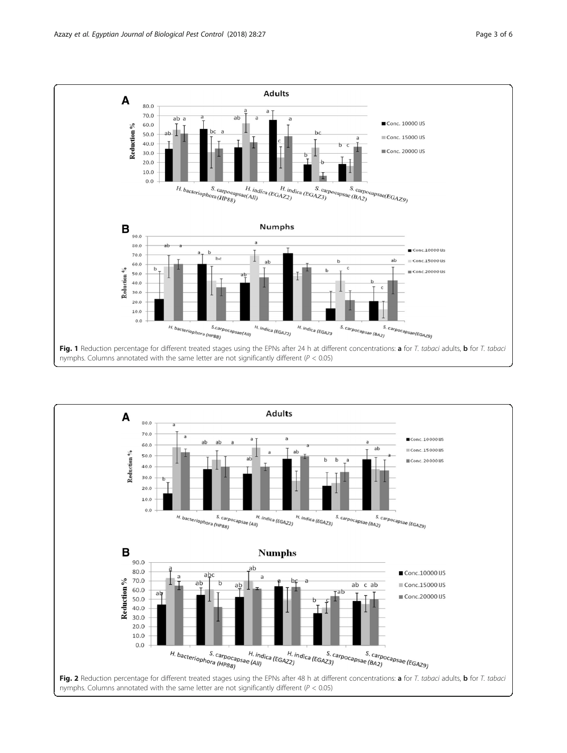<span id="page-2-0"></span>

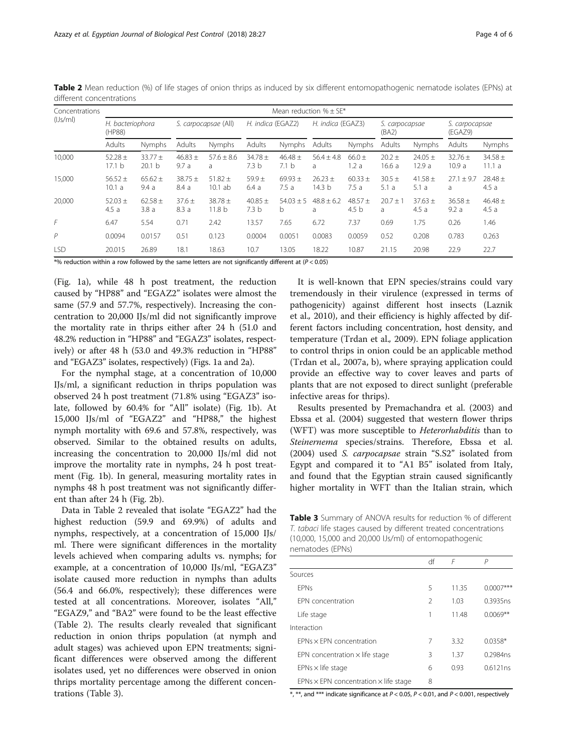| Concentrations<br>(IJS/ml) | Mean reduction $% + SF*$   |                                |                      |                                  |                                 |                               |                                |                                 |                         |                     |                           |                      |
|----------------------------|----------------------------|--------------------------------|----------------------|----------------------------------|---------------------------------|-------------------------------|--------------------------------|---------------------------------|-------------------------|---------------------|---------------------------|----------------------|
|                            | H. bacteriophora<br>(HP88) |                                | S. carpocapsae (All) |                                  | H. indica (EGAZ2)               |                               | H. indica (EGAZ3)              |                                 | S. carpocapsae<br>(BA2) |                     | S. carpocapsae<br>(EGAZ9) |                      |
|                            | Adults                     | Nymphs                         | Adults               | <b>Nymphs</b>                    | Adults                          | Nymphs                        | Adults                         | Nymphs                          | Adults                  | Nymphs              | Adults                    | Nymphs               |
| 10.000                     | 52.28 $\pm$<br>17.1 b      | $33.77 +$<br>20.1 <sub>b</sub> | $46.83 +$<br>9.7a    | $57.6 + 8.6$<br>a                | $34.78 +$<br>7.3 <sub>b</sub>   | $46.48 +$<br>7.1 <sub>b</sub> | $56.4 + 4.8$<br>a              | $66.0 +$<br>1.2a                | $20.2 +$<br>16.6a       | $24.05 +$<br>12.9a  | $32.76 +$<br>10.9a        | $34.58 \pm$<br>11.1a |
| 15.000                     | $56.52 \pm$<br>10.1 a      | $65.62 \pm$<br>9.4a            | $38.75 +$<br>8.4 a   | $51.82 \pm$<br>$10.1$ ab         | $59.9 +$<br>6.4a                | $69.93 \pm$<br>7.5a           | $26.23 +$<br>14.3 <sub>b</sub> | $60.33 \pm$<br>7.5a             | $30.5 \pm$<br>5.1a      | 41.58 $\pm$<br>5.1a | $27.1 \pm 9.7$<br>a       | $28.48 \pm$<br>4.5a  |
| 20,000                     | 52.03 $\pm$<br>4.5a        | $62.58 +$<br>3.8a              | $37.6 +$<br>8.3a     | $38.78 \pm$<br>11.8 <sub>b</sub> | 40.85 $\pm$<br>7.3 <sub>b</sub> | $54.03 + 5$<br>b              | $48.8 + 6.2$<br>a              | 48.57 $\pm$<br>4.5 <sub>b</sub> | $20.7 +$<br>a           | $37.63 +$<br>4.5a   | $36.58 \pm$<br>9.2a       | $46.48 \pm$<br>4.5a  |
| F                          | 6.47                       | 5.54                           | 0.71                 | 2.42                             | 13.57                           | 7.65                          | 6.72                           | 7.37                            | 0.69                    | 1.75                | 0.26                      | 1.46                 |
| P                          | 0.0094                     | 0.0157                         | 0.51                 | 0.123                            | 0.0004                          | 0.0051                        | 0.0083                         | 0.0059                          | 0.52                    | 0.208               | 0.783                     | 0.263                |
| <b>LSD</b>                 | 20.015                     | 26.89                          | 18.1                 | 18.63                            | 10.7                            | 13.05                         | 18.22                          | 10.87                           | 21.15                   | 20.98               | 22.9                      | 22.7                 |

Table 2 Mean reduction (%) of life stages of onion thrips as induced by six different entomopathogenic nematode isolates (EPNs) at different concentrations

 $*$ % reduction within a row followed by the same letters are not significantly different at ( $P < 0.05$ )

(Fig. [1a](#page-2-0)), while 48 h post treatment, the reduction caused by "HP88" and "EGAZ2" isolates were almost the same (57.9 and 57.7%, respectively). Increasing the concentration to 20,000 IJs/ml did not significantly improve the mortality rate in thrips either after 24 h (51.0 and 48.2% reduction in "HP88" and "EGAZ3" isolates, respectively) or after 48 h (53.0 and 49.3% reduction in "HP88" and "EGAZ3" isolates, respectively) (Figs. [1a](#page-2-0) and [2a](#page-2-0)).

For the nymphal stage, at a concentration of 10,000 IJs/ml, a significant reduction in thrips population was observed 24 h post treatment (71.8% using "EGAZ3" isolate, followed by 60.4% for "All" isolate) (Fig. [1b](#page-2-0)). At 15,000 IJs/ml of "EGAZ2" and "HP88," the highest nymph mortality with 69.6 and 57.8%, respectively, was observed. Similar to the obtained results on adults, increasing the concentration to 20,000 IJs/ml did not improve the mortality rate in nymphs, 24 h post treatment (Fig. [1b](#page-2-0)). In general, measuring mortality rates in nymphs 48 h post treatment was not significantly different than after 24 h (Fig. [2b](#page-2-0)).

Data in Table 2 revealed that isolate "EGAZ2" had the highest reduction (59.9 and 69.9%) of adults and nymphs, respectively, at a concentration of 15,000 IJs/ ml. There were significant differences in the mortality levels achieved when comparing adults vs. nymphs; for example, at a concentration of 10,000 IJs/ml, "EGAZ3" isolate caused more reduction in nymphs than adults (56.4 and 66.0%, respectively); these differences were tested at all concentrations. Moreover, isolates "All," "EGAZ9," and "BA2" were found to be the least effective (Table 2). The results clearly revealed that significant reduction in onion thrips population (at nymph and adult stages) was achieved upon EPN treatments; significant differences were observed among the different isolates used, yet no differences were observed in onion thrips mortality percentage among the different concentrations (Table 3).

It is well-known that EPN species/strains could vary tremendously in their virulence (expressed in terms of pathogenicity) against different host insects (Laznik et al., [2010](#page-4-0)), and their efficiency is highly affected by different factors including concentration, host density, and temperature (Trdan et al., [2009\)](#page-5-0). EPN foliage application to control thrips in onion could be an applicable method (Trdan et al., [2007a](#page-5-0), [b](#page-5-0)), where spraying application could provide an effective way to cover leaves and parts of plants that are not exposed to direct sunlight (preferable infective areas for thrips).

Results presented by Premachandra et al. [\(2003\)](#page-5-0) and Ebssa et al. [\(2004\)](#page-4-0) suggested that western flower thrips (WFT) was more susceptible to Heterorhabditis than to Steinernema species/strains. Therefore, Ebssa et al. ([2004\)](#page-4-0) used S. carpocapsae strain "S.S2" isolated from Egypt and compared it to "A1 B5" isolated from Italy, and found that the Egyptian strain caused significantly higher mortality in WFT than the Italian strain, which

Table 3 Summary of ANOVA results for reduction % of different T. tabaci life stages caused by different treated concentrations (10,000, 15,000 and 20,000 IJs/ml) of entomopathogenic nematodes (EPNs)

| df             | F     | P           |
|----------------|-------|-------------|
|                |       |             |
| 5              | 11.35 | $0.0007***$ |
| $\mathfrak{D}$ | 1.03  | 0.3935ns    |
| 1              | 1148  | $0.0069**$  |
|                |       |             |
| 7              | 3.32  | $0.0358*$   |
| 3              | 1.37  | 0.2984ns    |
| 6              | 0.93  | 0.6121ns    |
| 8              |       |             |
|                |       |             |

\*, \*\*, and \*\*\* indicate significance at  $P < 0.05$ ,  $P < 0.01$ , and  $P < 0.001$ , respectively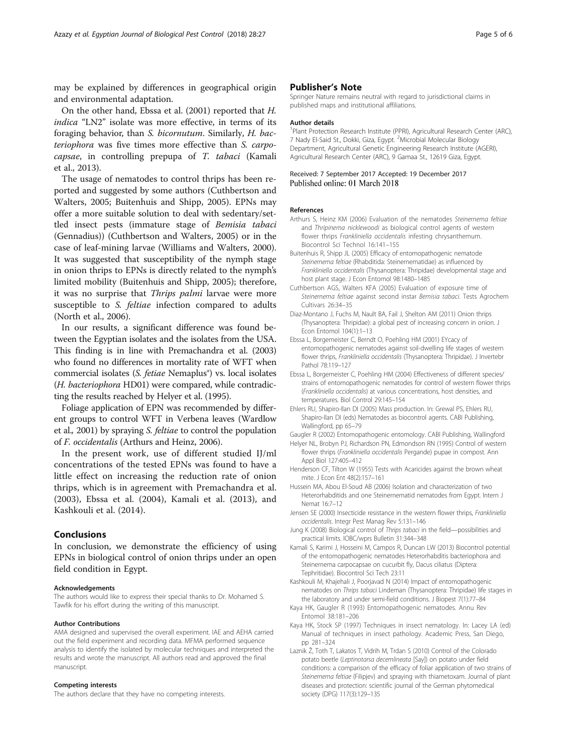<span id="page-4-0"></span>may be explained by differences in geographical origin and environmental adaptation.

On the other hand, Ebssa et al. (2001) reported that H. indica "LN2" isolate was more effective, in terms of its foraging behavior, than S. bicornutum. Similarly, H. bacteriophora was five times more effective than S. carpocapsae, in controlling prepupa of T. tabaci (Kamali et al., 2013).

The usage of nematodes to control thrips has been reported and suggested by some authors (Cuthbertson and Walters, 2005; Buitenhuis and Shipp, 2005). EPNs may offer a more suitable solution to deal with sedentary/settled insect pests (immature stage of Bemisia tabaci (Gennadius)) (Cuthbertson and Walters, 2005) or in the case of leaf-mining larvae (Williams and Walters, [2000](#page-5-0)). It was suggested that susceptibility of the nymph stage in onion thrips to EPNs is directly related to the nymph's limited mobility (Buitenhuis and Shipp, 2005); therefore, it was no surprise that Thrips palmi larvae were more susceptible to S. feltiae infection compared to adults (North et al., [2006\)](#page-5-0).

In our results, a significant difference was found between the Egyptian isolates and the isolates from the USA. This finding is in line with Premachandra et al. [\(2003](#page-5-0)) who found no differences in mortality rate of WFT when commercial isolates (S. fetiae Nemaplus®) vs. local isolates (H. bacteriophora HD01) were compared, while contradicting the results reached by Helyer et al. (1995).

Foliage application of EPN was recommended by different groups to control WFT in Verbena leaves (Wardlow et al., [2001\)](#page-5-0) by spraying S. feltiae to control the population of F. occidentalis (Arthurs and Heinz, 2006).

In the present work, use of different studied IJ/ml concentrations of the tested EPNs was found to have a little effect on increasing the reduction rate of onion thrips, which is in agreement with Premachandra et al. ([2003\)](#page-5-0), Ebssa et al. (2004), Kamali et al. (2013), and Kashkouli et al. (2014).

## Conclusions

In conclusion, we demonstrate the efficiency of using EPNs in biological control of onion thrips under an open field condition in Egypt.

#### Acknowledgements

The authors would like to express their special thanks to Dr. Mohamed S. Tawfik for his effort during the writing of this manuscript.

#### Author Contributions

AMA designed and supervised the overall experiment. IAE and AEHA carried out the field experiment and recording data. MFMA performed sequence analysis to identify the isolated by molecular techniques and interpreted the results and wrote the manuscript. All authors read and approved the final manuscript.

#### Competing interests

The authors declare that they have no competing interests.

Springer Nature remains neutral with regard to jurisdictional claims in published maps and institutional affiliations.

#### Author details

<sup>1</sup>Plant Protection Research Institute (PPRI), Agricultural Research Center (ARC), 7 Nady El-Said St., Dokki, Giza, Egypt. <sup>2</sup>Microbial Molecular Biology Department, Agricultural Genetic Engineering Research Institute (AGERI), Agricultural Research Center (ARC), 9 Gamaa St., 12619 Giza, Egypt.

### Received: 7 September 2017 Accepted: 19 December 2017 Published online: 01 March 2018

#### References

- Arthurs S, Heinz KM (2006) Evaluation of the nematodes Steinernema feltiae and Thripinema nicklewoodi as biological control agents of western flower thrips Frankliniella occidentalis infesting chrysanthemum. Biocontrol Sci Technol 16:141–155
- Buitenhuis R, Shipp JL (2005) Efficacy of entomopathogenic nematode Steinernema feltiae (Rhabditida: Steinernematidae) as influenced by Frankliniella occidentalis (Thysanoptera: Thripidae) developmental stage and host plant stage. J Econ Entomol 98:1480–1485
- Cuthbertson AGS, Walters KFA (2005) Evaluation of exposure time of Steinernema feltiae against second instar Bemisia tabaci. Tests Agrochem Cultivars 26:34–35
- Diaz-Montano J, Fuchs M, Nault BA, Fail J, Shelton AM (2011) Onion thrips (Thysanoptera: Thripidae): a global pest of increasing concern in onion. J Econ Entomol 104(1):1–13
- Ebssa L, Borgemeister C, Berndt O, Poehling HM (2001) EYcacy of entomopathogenic nematodes against soil-dwelling life stages of western flower thrips, Frankliniella occidentalis (Thysanoptera: Thripidae). J Invertebr Pathol 78:119–127
- Ebssa L, Borgemeister C, Poehling HM (2004) Effectiveness of different species/ strains of entomopathogenic nematodes for control of western flower thrips (Frankliniella occidentalis) at various concentrations, host densities, and temperatures. Biol Control 29:145–154
- Ehlers RU, Shapiro-Ilan DI (2005) Mass production. In: Grewal PS, Ehlers RU, Shapiro-Ilan DI (eds) Nematodes as biocontrol agents. CABI Publishing, Wallingford, pp 65–79
- Gaugler R (2002) Entomopathogenic entomology. CABI Publishing, Wallingford
- Helyer NL, Brobyn PJ, Richardson PN, Edmondson RN (1995) Control of western flower thrips (Frankliniella occidentalis Pergande) pupae in compost. Ann Appl Biol 127:405–412
- Henderson CF, Tilton W (1955) Tests with Acaricides against the brown wheat mite. J Econ Ent 48(2):157–161
- Hussein MA, Abou El-Soud AB (2006) Isolation and characterization of two Heterorhabditids and one Steinernematid nematodes from Egypt. Intern J Nemat 16:7–12
- Jensen SE (2000) Insecticide resistance in the western flower thrips, Frankliniella occidentalis. Integr Pest Manag Rev 5:131–146
- Jung K (2008) Biological control of Thrips tabaci in the field—possibilities and practical limits. IOBC/wprs Bulletin 31:344–348
- Kamali S, Karimi J, Hosseini M, Campos R, Duncan LW (2013) Biocontrol potential of the entomopathogenic nematodes Heterorhabditis bacteriophora and Steinernema carpocapsae on cucurbit fly, Dacus ciliatus (Diptera: Tephritidae). Biocontrol Sci Tech 23:11
- Kashkouli M, Khajehali J, Poorjavad N (2014) Impact of entomopathogenic nematodes on Thrips tabaci Lindeman (Thysanoptera: Thripidae) life stages in the laboratory and under semi-field conditions. J Biopest 7(1):77–84
- Kaya HK, Gaugler R (1993) Entomopathogenic nematodes. Annu Rev Entomol 38:181–206
- Kaya HK, Stock SP (1997) Techniques in insect nematology. In: Lacey LA (ed) Manual of techniques in insect pathology. Academic Press, San Diego, pp 281–324
- Laznik Ž, Toth T, Lakatos T, Vidrih M, Trdan S (2010) Control of the Colorado potato beetle (Leptinotarsa decemlineata [Say]) on potato under field conditions: a comparison of the efficacy of foliar application of two strains of Steinernema feltiae (Filipjev) and spraying with thiametoxam. Journal of plant diseases and protection: scientific journal of the German phytomedical society (DPG) 117(3):129–135